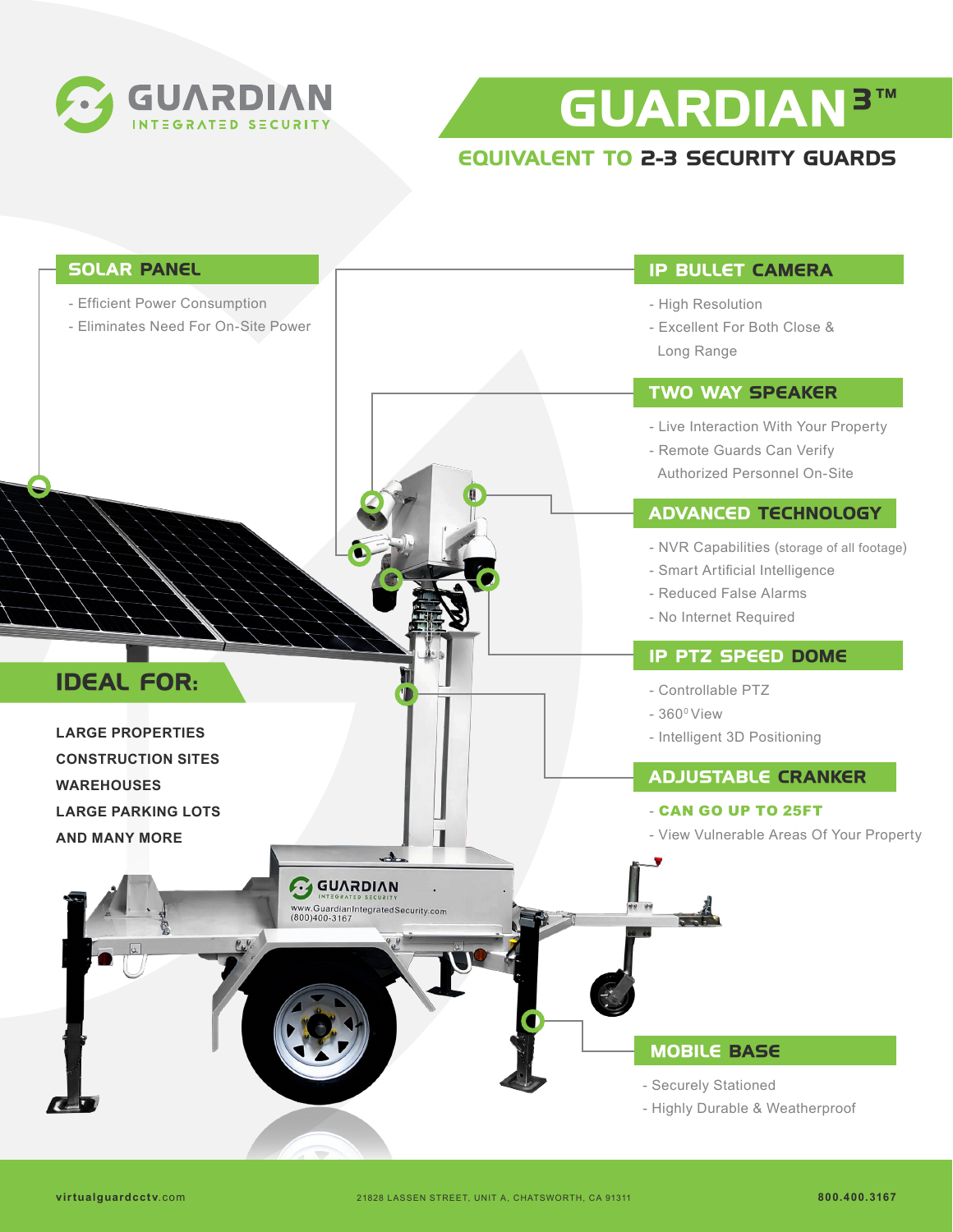

**GUARDIAN 3 TM**

## **EQUIVALENT TO 2-3 SECURITY GUARDS**

| <b>SOLAR PANEL</b>                                                                                                    | <b>IP BULLET CAMERA</b>                                                                                                            |
|-----------------------------------------------------------------------------------------------------------------------|------------------------------------------------------------------------------------------------------------------------------------|
| - Efficient Power Consumption<br>- Eliminates Need For On-Site Power                                                  | - High Resolution<br>- Excellent For Both Close &<br>Long Range                                                                    |
|                                                                                                                       | <b>TWO WAY SPEAKER</b>                                                                                                             |
|                                                                                                                       | - Live Interaction With Your Property<br>- Remote Guards Can Verify<br>Authorized Personnel On-Site                                |
|                                                                                                                       | <b>ADVANCED TECHNOLOGY</b>                                                                                                         |
|                                                                                                                       | - NVR Capabilities (storage of all footage)<br>- Smart Artificial Intelligence<br>- Reduced False Alarms<br>- No Internet Required |
|                                                                                                                       | <b>IP PTZ SPEED DOME</b>                                                                                                           |
| <b>IDEAL FOR:</b><br><b>LARGE PROPERTIES</b>                                                                          | - Controllable PTZ<br>$-360^{\circ}$ View<br>- Intelligent 3D Positioning                                                          |
| <b>CONSTRUCTION SITES</b>                                                                                             | <b>ADJUSTABLE CRANKER</b>                                                                                                          |
| <b>WAREHOUSES</b><br><b>LARGE PARKING LOTS</b><br><b>AND MANY MORE</b>                                                | - CAN GO UP TO 25FT<br>- View Vulnerable Areas Of Your Property                                                                    |
| <b>GUVYDIVN</b><br><b>ED SECURITY</b><br>www.GuardianIntegratedSecurity.com<br>(800)400-3167<br>$P_{\alpha}P_{\beta}$ |                                                                                                                                    |
|                                                                                                                       | <b>MOBILE BASE</b><br>- Securely Stationed                                                                                         |
|                                                                                                                       | - Highly Durable & Weatherproof                                                                                                    |